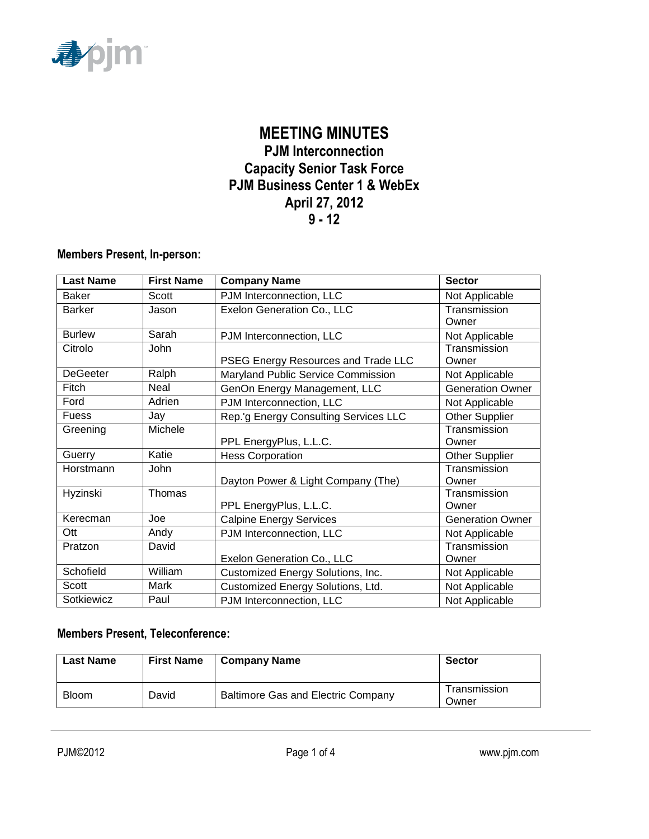

# **MEETING MINUTES PJM Interconnection Capacity Senior Task Force PJM Business Center 1 & WebEx April 27, 2012 9 - 12**

#### **Members Present, In-person:**

| <b>Last Name</b> | <b>First Name</b> | <b>Company Name</b>                                 | <b>Sector</b>           |
|------------------|-------------------|-----------------------------------------------------|-------------------------|
| <b>Baker</b>     | Scott             | PJM Interconnection, LLC                            | Not Applicable          |
| <b>Barker</b>    | Jason             | Exelon Generation Co., LLC                          | Transmission<br>Owner   |
| <b>Burlew</b>    | Sarah             | PJM Interconnection, LLC                            | Not Applicable          |
| Citrolo          | John              | PSEG Energy Resources and Trade LLC                 | Transmission<br>Owner   |
| <b>DeGeeter</b>  | Ralph             | Maryland Public Service Commission                  | Not Applicable          |
| Fitch            | Neal              | GenOn Energy Management, LLC                        | <b>Generation Owner</b> |
| Ford             | Adrien            | PJM Interconnection, LLC                            | Not Applicable          |
| Fuess            | Jay               | Rep.'g Energy Consulting Services LLC               | <b>Other Supplier</b>   |
| Greening         | Michele           | PPL EnergyPlus, L.L.C.                              | Transmission<br>Owner   |
| Guerry           | Katie             | <b>Hess Corporation</b>                             | <b>Other Supplier</b>   |
| Horstmann        | John              | Dayton Power & Light Company (The)                  | Transmission<br>Owner   |
| Hyzinski         | Thomas            | PPL EnergyPlus, L.L.C.                              | Transmission<br>Owner   |
| Kerecman         | Joe               | <b>Calpine Energy Services</b>                      | <b>Generation Owner</b> |
| Ott              | Andy              | PJM Interconnection, LLC                            | Not Applicable          |
| Pratzon          | David             | Transmission<br>Exelon Generation Co., LLC<br>Owner |                         |
| Schofield        | William           | Customized Energy Solutions, Inc.<br>Not Applicable |                         |
| Scott            | Mark              | Customized Energy Solutions, Ltd.<br>Not Applicable |                         |
| Sotkiewicz       | Paul              | Not Applicable<br>PJM Interconnection, LLC          |                         |

#### **Members Present, Teleconference:**

| <b>Last Name</b> | <b>First Name</b> | <b>Company Name</b>                       | <b>Sector</b>         |
|------------------|-------------------|-------------------------------------------|-----------------------|
| <b>Bloom</b>     | David             | <b>Baltimore Gas and Electric Company</b> | Transmission<br>Owner |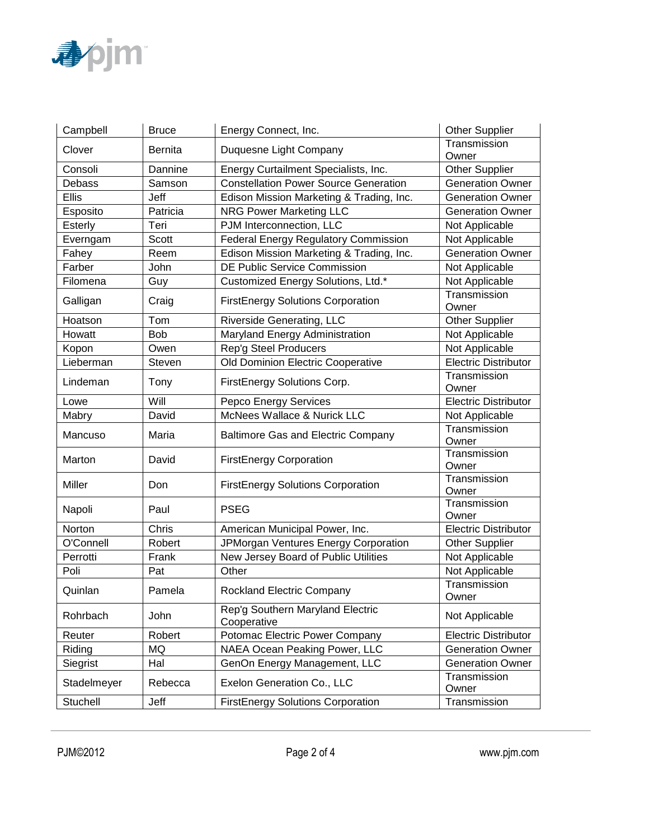

| Campbell     | <b>Bruce</b>   | Energy Connect, Inc.                                    | Other Supplier              |
|--------------|----------------|---------------------------------------------------------|-----------------------------|
| Clover       | <b>Bernita</b> | Duquesne Light Company                                  | Transmission<br>Owner       |
| Consoli      | Dannine        | Energy Curtailment Specialists, Inc.                    | Other Supplier              |
| Debass       | Samson         | <b>Constellation Power Source Generation</b>            | <b>Generation Owner</b>     |
| <b>Ellis</b> | Jeff           | Edison Mission Marketing & Trading, Inc.                | <b>Generation Owner</b>     |
| Esposito     | Patricia       | <b>NRG Power Marketing LLC</b>                          | <b>Generation Owner</b>     |
| Esterly      | Teri           | PJM Interconnection, LLC                                | Not Applicable              |
| Everngam     | Scott          | <b>Federal Energy Regulatory Commission</b>             | Not Applicable              |
| Fahey        | Reem           | Edison Mission Marketing & Trading, Inc.                | <b>Generation Owner</b>     |
| Farber       | John           | <b>DE Public Service Commission</b>                     | Not Applicable              |
| Filomena     | Guy            | Customized Energy Solutions, Ltd.*                      | Not Applicable              |
| Galligan     | Craig          | <b>FirstEnergy Solutions Corporation</b>                | Transmission<br>Owner       |
| Hoatson      | Tom            | Riverside Generating, LLC                               | <b>Other Supplier</b>       |
| Howatt       | <b>Bob</b>     | Maryland Energy Administration                          | Not Applicable              |
| Kopon        | Owen           | Rep'g Steel Producers                                   | Not Applicable              |
| Lieberman    | Steven         | Old Dominion Electric Cooperative                       | <b>Electric Distributor</b> |
| Lindeman     | Tony           | FirstEnergy Solutions Corp.                             | Transmission<br>Owner       |
| Lowe         | Will           | Pepco Energy Services                                   | <b>Electric Distributor</b> |
| Mabry        | David          | McNees Wallace & Nurick LLC<br>Not Applicable           |                             |
| Mancuso      | Maria          | <b>Baltimore Gas and Electric Company</b>               | Transmission<br>Owner       |
| Marton       | David          | <b>FirstEnergy Corporation</b>                          | Transmission<br>Owner       |
| Miller       | Don            | <b>FirstEnergy Solutions Corporation</b>                | Transmission<br>Owner       |
| Napoli       | Paul           | <b>PSEG</b>                                             | Transmission<br>Owner       |
| Norton       | Chris          | American Municipal Power, Inc.                          | <b>Electric Distributor</b> |
| O'Connell    | Robert         | JPMorgan Ventures Energy Corporation                    | <b>Other Supplier</b>       |
| Perrotti     | Frank          | New Jersey Board of Public Utilities                    | Not Applicable              |
| Poli         | Pat            | Other                                                   | Not Applicable              |
| Quinlan      | Pamela         | <b>Rockland Electric Company</b>                        | Transmission<br>Owner       |
| Rohrbach     | John           | Rep'g Southern Maryland Electric<br>Cooperative         | Not Applicable              |
| Reuter       | Robert         | Potomac Electric Power Company                          | <b>Electric Distributor</b> |
| Riding       | MQ             | NAEA Ocean Peaking Power, LLC                           | <b>Generation Owner</b>     |
| Siegrist     | Hal            | GenOn Energy Management, LLC<br><b>Generation Owner</b> |                             |
| Stadelmeyer  | Rebecca        | Exelon Generation Co., LLC                              | Transmission<br>Owner       |
| Stuchell     | Jeff           | <b>FirstEnergy Solutions Corporation</b>                | Transmission                |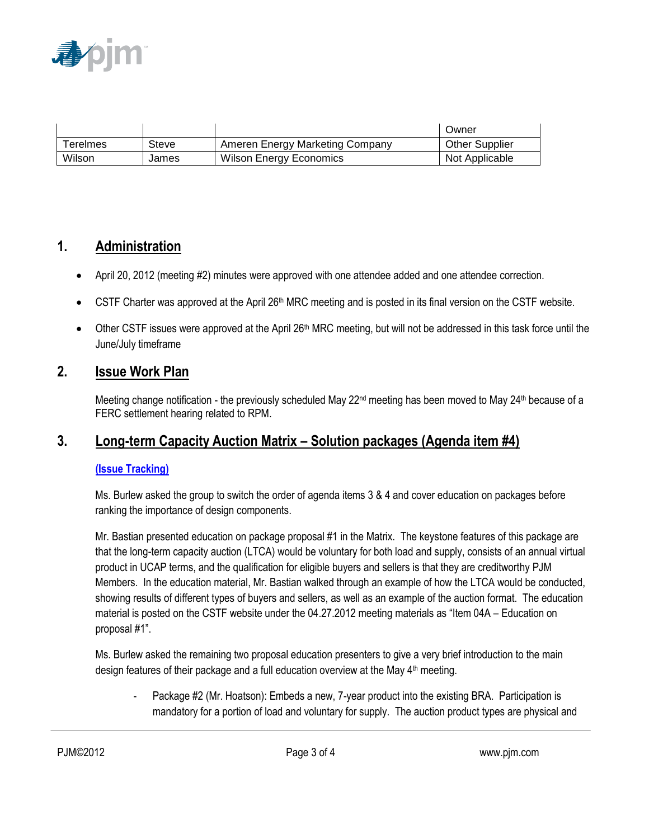

|                |       |                                 | Owner                 |
|----------------|-------|---------------------------------|-----------------------|
| $\tau$ erelmes | Steve | Ameren Energy Marketing Company | <b>Other Supplier</b> |
| Wilson         | James | <b>Wilson Energy Economics</b>  | Not Applicable        |

### **1. Administration**

- April 20, 2012 (meeting #2) minutes were approved with one attendee added and one attendee correction.
- $\bullet$  CSTF Charter was approved at the April 26<sup>th</sup> MRC meeting and is posted in its final version on the CSTF website.
- Other CSTF issues were approved at the April 26<sup>th</sup> MRC meeting, but will not be addressed in this task force until the June/July timeframe

### **2. Issue Work Plan**

Meeting change notification - the previously scheduled May  $22<sup>nd</sup>$  meeting has been moved to May  $24<sup>th</sup>$  because of a FERC settlement hearing related to RPM.

# **3. Long-term Capacity Auction Matrix – Solution packages (Agenda item #4)**

#### **[\(Issue Tracking\)](http://www.pjm.com/committees-and-groups/issue-tracking/issue-tracking-details.aspx?Issue=%7bB709F188-450F-4A06-A5EB-BD61B601C9EF%7d)**

Ms. Burlew asked the group to switch the order of agenda items 3 & 4 and cover education on packages before ranking the importance of design components.

Mr. Bastian presented education on package proposal #1 in the Matrix. The keystone features of this package are that the long-term capacity auction (LTCA) would be voluntary for both load and supply, consists of an annual virtual product in UCAP terms, and the qualification for eligible buyers and sellers is that they are creditworthy PJM Members. In the education material, Mr. Bastian walked through an example of how the LTCA would be conducted, showing results of different types of buyers and sellers, as well as an example of the auction format. The education material is posted on the CSTF website under the 04.27.2012 meeting materials as "Item 04A – Education on proposal #1".

Ms. Burlew asked the remaining two proposal education presenters to give a very brief introduction to the main design features of their package and a full education overview at the May  $4<sup>th</sup>$  meeting.

- Package #2 (Mr. Hoatson): Embeds a new, 7-year product into the existing BRA. Participation is mandatory for a portion of load and voluntary for supply. The auction product types are physical and